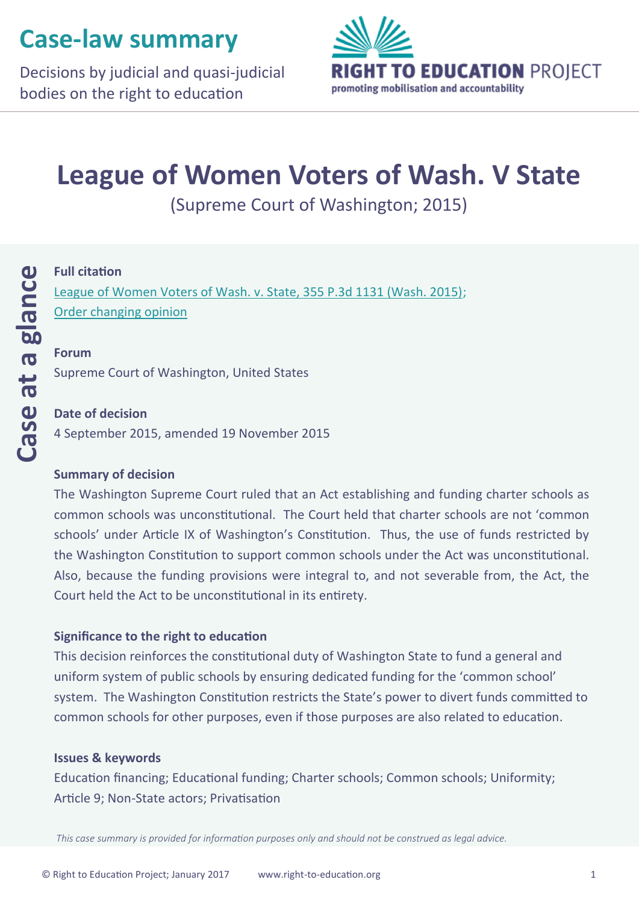# **Case-law summary**

Decisions by judicial and quasi-judicial bodies on the right to education



# **League of Women Voters of Wash. V State**

(Supreme Court of Washington; 2015)

### **Full citation**

[League of Women Voters of Wash. v. State, 355 P.3d 1131 \(Wash. 2015\);](http://www.courts.wa.gov/opinions/pdf/897140.pdf) [Order changing opinion](https://www.washingtonea.org/file_viewer.php?id=994)

#### **Forum**

Supreme Court of Washington, United States

#### **Date of decision**

4 September 2015, amended 19 November 2015

#### **Summary of decision**

The Washington Supreme Court ruled that an Act establishing and funding charter schools as common schools was unconstitutional. The Court held that charter schools are not 'common schools' under Article IX of Washington's Constitution. Thus, the use of funds restricted by the Washington Constitution to support common schools under the Act was unconstitutional. Also, because the funding provisions were integral to, and not severable from, the Act, the Court held the Act to be unconstitutional in its entirety.

#### **Significance to the right to education**

This decision reinforces the constitutional duty of Washington State to fund a general and uniform system of public schools by ensuring dedicated funding for the 'common school' system. The Washington Constitution restricts the State's power to divert funds committed to common schools for other purposes, even if those purposes are also related to education.

#### **Issues & keywords**

Education financing; Educational funding; Charter schools; Common schools; Uniformity; Article 9; Non-State actors; Privatisation

*This case summary is provided for information purposes only and should not be construed as legal advice.*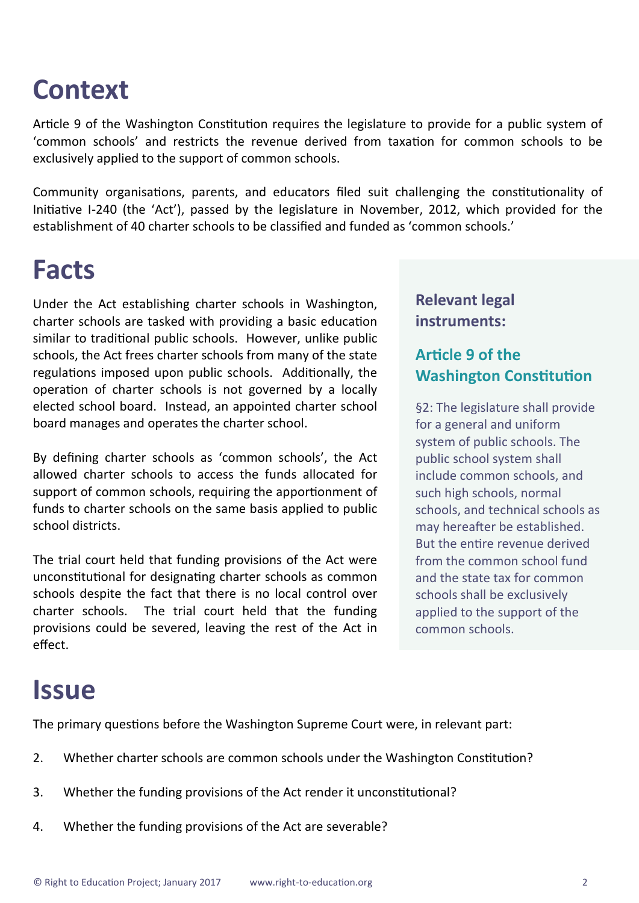# **Context**

Article 9 of the Washington Constitution requires the legislature to provide for a public system of 'common schools' and restricts the revenue derived from taxation for common schools to be exclusively applied to the support of common schools.

Community organisations, parents, and educators filed suit challenging the constitutionality of Initiative I-240 (the 'Act'), passed by the legislature in November, 2012, which provided for the establishment of 40 charter schools to be classified and funded as 'common schools.'

## **Facts**

Under the Act establishing charter schools in Washington, charter schools are tasked with providing a basic education similar to traditional public schools. However, unlike public schools, the Act frees charter schools from many of the state regulations imposed upon public schools. Additionally, the operation of charter schools is not governed by a locally elected school board. Instead, an appointed charter school board manages and operates the charter school.

By defining charter schools as 'common schools', the Act allowed charter schools to access the funds allocated for support of common schools, requiring the apportionment of funds to charter schools on the same basis applied to public school districts.

The trial court held that funding provisions of the Act were unconstitutional for designating charter schools as common schools despite the fact that there is no local control over charter schools. The trial court held that the funding provisions could be severed, leaving the rest of the Act in effect.

### **Relevant legal instruments:**

## **Article 9 of the Washington Constitution**

§2: The legislature shall provide for a general and uniform system of public schools. The public school system shall include common schools, and such high schools, normal schools, and technical schools as may hereafter be established. But the entire revenue derived from the common school fund and the state tax for common schools shall be exclusively applied to the support of the common schools.

## **Issue**

The primary questions before the Washington Supreme Court were, in relevant part:

- 2. Whether charter schools are common schools under the Washington Constitution?
- 3. Whether the funding provisions of the Act render it unconstitutional?
- 4. Whether the funding provisions of the Act are severable?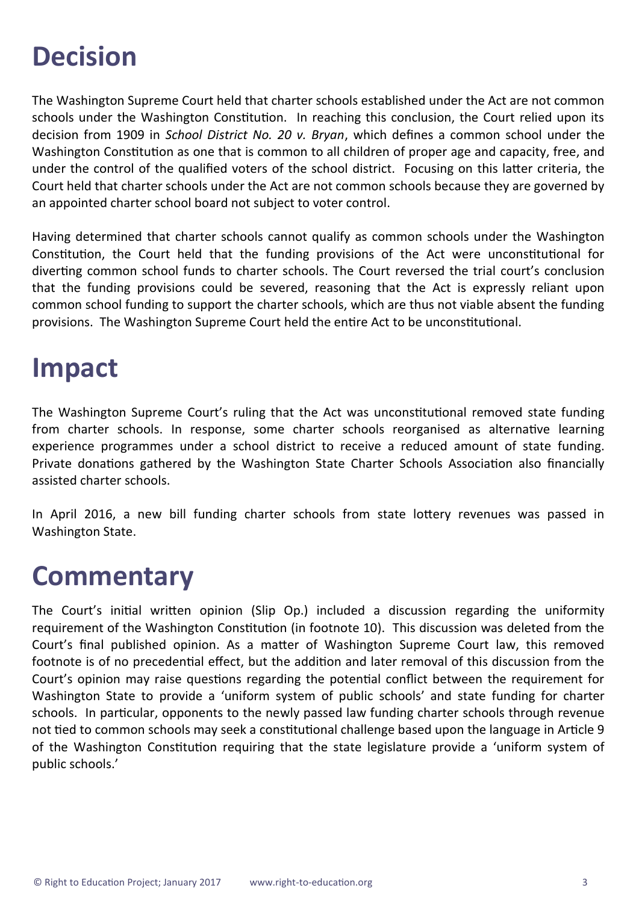# **Decision**

The Washington Supreme Court held that charter schools established under the Act are not common schools under the Washington Constitution. In reaching this conclusion, the Court relied upon its decision from 1909 in *School District No. 20 v. Bryan*, which defines a common school under the Washington Constitution as one that is common to all children of proper age and capacity, free, and under the control of the qualified voters of the school district. Focusing on this latter criteria, the Court held that charter schools under the Act are not common schools because they are governed by an appointed charter school board not subject to voter control.

Having determined that charter schools cannot qualify as common schools under the Washington Constitution, the Court held that the funding provisions of the Act were unconstitutional for diverting common school funds to charter schools. The Court reversed the trial court's conclusion that the funding provisions could be severed, reasoning that the Act is expressly reliant upon common school funding to support the charter schools, which are thus not viable absent the funding provisions. The Washington Supreme Court held the entire Act to be unconstitutional.

# **Impact**

The Washington Supreme Court's ruling that the Act was unconstitutional removed state funding from charter schools. In response, some charter schools reorganised as alternative learning experience programmes under a school district to receive a reduced amount of state funding. Private donations gathered by the Washington State Charter Schools Association also financially assisted charter schools.

In April 2016, a new bill funding charter schools from state lottery revenues was passed in Washington State.

# **Commentary**

The Court's initial written opinion (Slip Op.) included a discussion regarding the uniformity requirement of the Washington Constitution (in footnote 10). This discussion was deleted from the Court's final published opinion. As a matter of Washington Supreme Court law, this removed footnote is of no precedential effect, but the addition and later removal of this discussion from the Court's opinion may raise questions regarding the potential conflict between the requirement for Washington State to provide a 'uniform system of public schools' and state funding for charter schools. In particular, opponents to the newly passed law funding charter schools through revenue not tied to common schools may seek a constitutional challenge based upon the language in Article 9 of the Washington Constitution requiring that the state legislature provide a 'uniform system of public schools.'